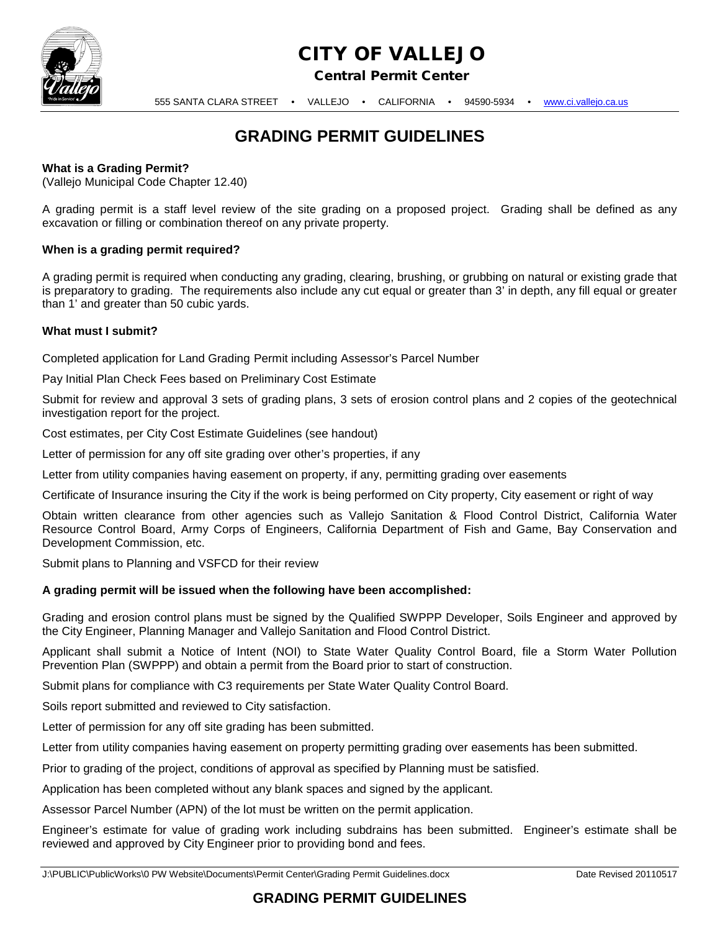

# CITY OF VALLEJO

Central Permit Center

555 SANTA CLARA STREET • VALLEJO • CALIFORNIA • 94590-5934 • [www.ci.vallejo.ca.us](http://www.ci.vallejo.ca.us/)

## **GRADING PERMIT GUIDELINES**

### **What is a Grading Permit?**

(Vallejo Municipal Code Chapter 12.40)

A grading permit is a staff level review of the site grading on a proposed project. Grading shall be defined as any excavation or filling or combination thereof on any private property.

### **When is a grading permit required?**

A grading permit is required when conducting any grading, clearing, brushing, or grubbing on natural or existing grade that is preparatory to grading. The requirements also include any cut equal or greater than 3' in depth, any fill equal or greater than 1' and greater than 50 cubic yards.

### **What must I submit?**

Completed application for Land Grading Permit including Assessor's Parcel Number

Pay Initial Plan Check Fees based on Preliminary Cost Estimate

Submit for review and approval 3 sets of grading plans, 3 sets of erosion control plans and 2 copies of the geotechnical investigation report for the project.

Cost estimates, per City Cost Estimate Guidelines (see handout)

Letter of permission for any off site grading over other's properties, if any

Letter from utility companies having easement on property, if any, permitting grading over easements

Certificate of Insurance insuring the City if the work is being performed on City property, City easement or right of way

Obtain written clearance from other agencies such as Vallejo Sanitation & Flood Control District, California Water Resource Control Board, Army Corps of Engineers, California Department of Fish and Game, Bay Conservation and Development Commission, etc.

Submit plans to Planning and VSFCD for their review

### **A grading permit will be issued when the following have been accomplished:**

Grading and erosion control plans must be signed by the Qualified SWPPP Developer, Soils Engineer and approved by the City Engineer, Planning Manager and Vallejo Sanitation and Flood Control District.

Applicant shall submit a Notice of Intent (NOI) to State Water Quality Control Board, file a Storm Water Pollution Prevention Plan (SWPPP) and obtain a permit from the Board prior to start of construction.

Submit plans for compliance with C3 requirements per State Water Quality Control Board.

Soils report submitted and reviewed to City satisfaction.

Letter of permission for any off site grading has been submitted.

Letter from utility companies having easement on property permitting grading over easements has been submitted.

Prior to grading of the project, conditions of approval as specified by Planning must be satisfied.

Application has been completed without any blank spaces and signed by the applicant.

Assessor Parcel Number (APN) of the lot must be written on the permit application.

Engineer's estimate for value of grading work including subdrains has been submitted. Engineer's estimate shall be reviewed and approved by City Engineer prior to providing bond and fees.

### **GRADING PERMIT GUIDELINES**